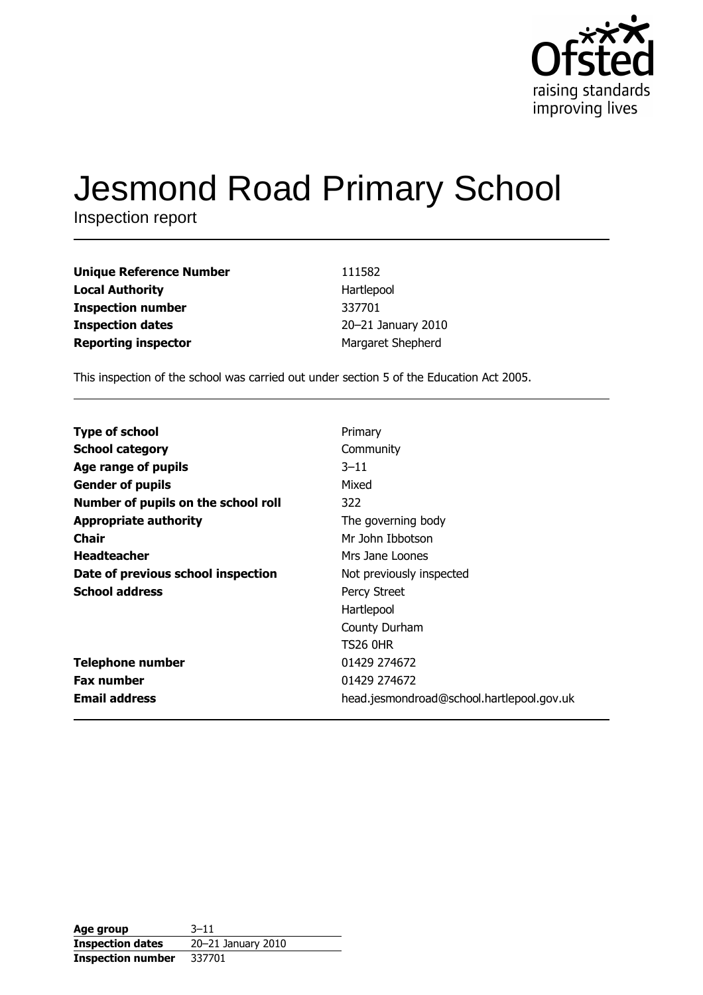

# **Jesmond Road Primary School**

Inspection report

| 111582             |
|--------------------|
| Hartlepool         |
| 337701             |
| 20-21 January 2010 |
| Margaret Shepherd  |
|                    |

This inspection of the school was carried out under section 5 of the Education Act 2005.

| <b>Type of school</b>               | Primary                                   |
|-------------------------------------|-------------------------------------------|
| <b>School category</b>              | Community                                 |
| Age range of pupils                 | $3 - 11$                                  |
| <b>Gender of pupils</b>             | Mixed                                     |
| Number of pupils on the school roll | 322                                       |
| <b>Appropriate authority</b>        | The governing body                        |
| Chair                               | Mr John Ibbotson                          |
| <b>Headteacher</b>                  | Mrs Jane Loones                           |
| Date of previous school inspection  | Not previously inspected                  |
| <b>School address</b>               | Percy Street                              |
|                                     | Hartlepool                                |
|                                     | County Durham                             |
|                                     | <b>TS26 0HR</b>                           |
| <b>Telephone number</b>             | 01429 274672                              |
| <b>Fax number</b>                   | 01429 274672                              |
| <b>Email address</b>                | head.jesmondroad@school.hartlepool.gov.uk |

| Age group                | $3 - 11$           |
|--------------------------|--------------------|
| <b>Inspection dates</b>  | 20-21 January 2010 |
| <b>Inspection number</b> | 337701             |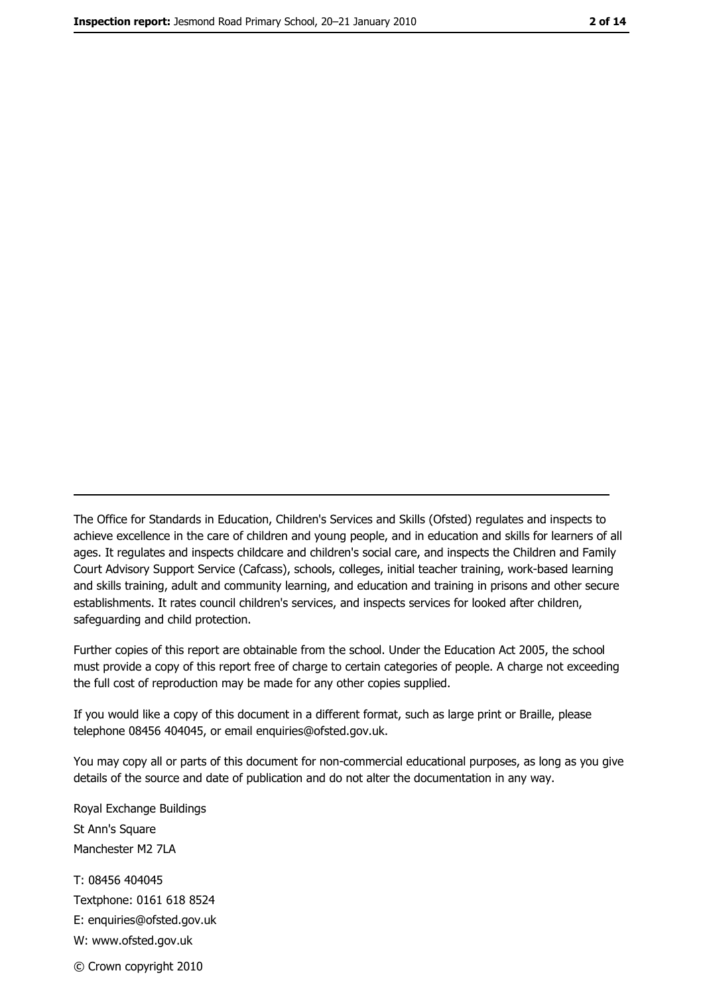The Office for Standards in Education, Children's Services and Skills (Ofsted) regulates and inspects to achieve excellence in the care of children and young people, and in education and skills for learners of all ages. It regulates and inspects childcare and children's social care, and inspects the Children and Family Court Advisory Support Service (Cafcass), schools, colleges, initial teacher training, work-based learning and skills training, adult and community learning, and education and training in prisons and other secure establishments. It rates council children's services, and inspects services for looked after children, safequarding and child protection.

Further copies of this report are obtainable from the school. Under the Education Act 2005, the school must provide a copy of this report free of charge to certain categories of people. A charge not exceeding the full cost of reproduction may be made for any other copies supplied.

If you would like a copy of this document in a different format, such as large print or Braille, please telephone 08456 404045, or email enquiries@ofsted.gov.uk.

You may copy all or parts of this document for non-commercial educational purposes, as long as you give details of the source and date of publication and do not alter the documentation in any way.

Royal Exchange Buildings St Ann's Square Manchester M2 7LA T: 08456 404045 Textphone: 0161 618 8524 E: enquiries@ofsted.gov.uk W: www.ofsted.gov.uk © Crown copyright 2010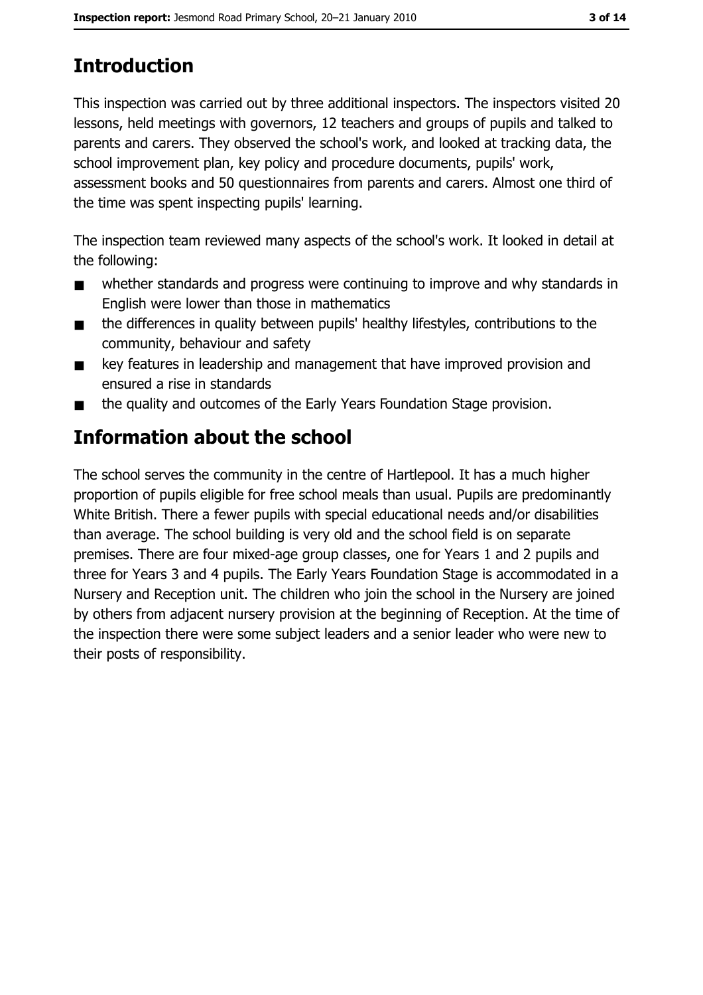# **Introduction**

This inspection was carried out by three additional inspectors. The inspectors visited 20 lessons, held meetings with governors, 12 teachers and groups of pupils and talked to parents and carers. They observed the school's work, and looked at tracking data, the school improvement plan, key policy and procedure documents, pupils' work, assessment books and 50 questionnaires from parents and carers. Almost one third of the time was spent inspecting pupils' learning.

The inspection team reviewed many aspects of the school's work. It looked in detail at the following:

- whether standards and progress were continuing to improve and why standards in  $\blacksquare$ English were lower than those in mathematics
- the differences in quality between pupils' healthy lifestyles, contributions to the  $\blacksquare$ community, behaviour and safety
- key features in leadership and management that have improved provision and  $\blacksquare$ ensured a rise in standards
- the quality and outcomes of the Early Years Foundation Stage provision.  $\blacksquare$

# Information about the school

The school serves the community in the centre of Hartlepool. It has a much higher proportion of pupils eligible for free school meals than usual. Pupils are predominantly White British. There a fewer pupils with special educational needs and/or disabilities than average. The school building is very old and the school field is on separate premises. There are four mixed-age group classes, one for Years 1 and 2 pupils and three for Years 3 and 4 pupils. The Early Years Foundation Stage is accommodated in a Nursery and Reception unit. The children who join the school in the Nursery are joined by others from adjacent nursery provision at the beginning of Reception. At the time of the inspection there were some subject leaders and a senior leader who were new to their posts of responsibility.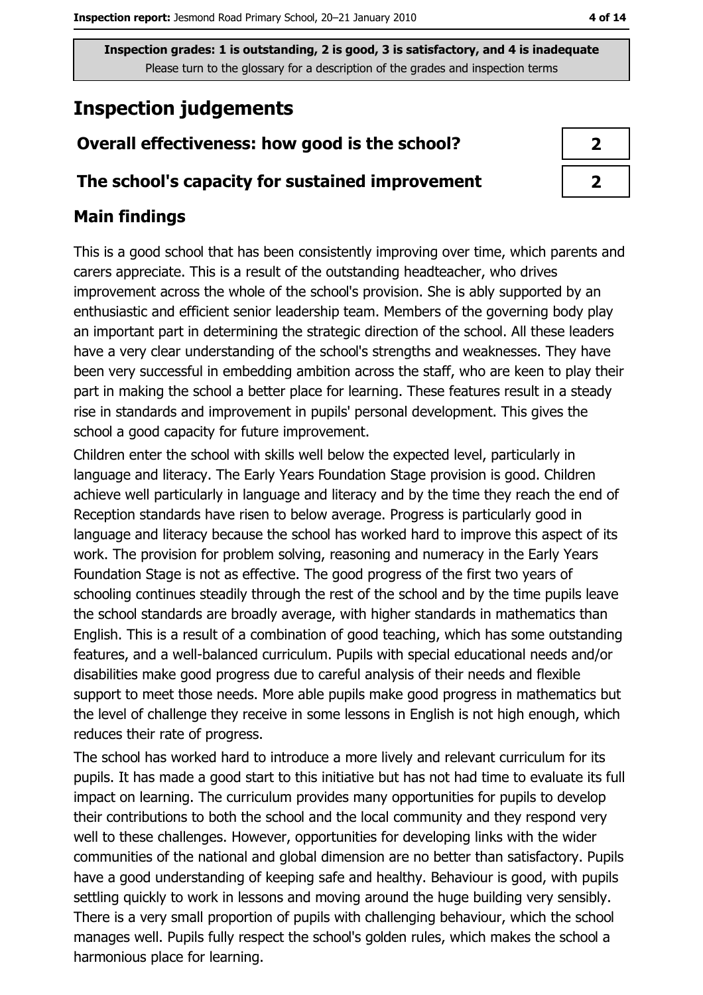# **Inspection judgements**

## Overall effectiveness: how good is the school?

#### The school's capacity for sustained improvement

## **Main findings**

This is a good school that has been consistently improving over time, which parents and carers appreciate. This is a result of the outstanding headteacher, who drives improvement across the whole of the school's provision. She is ably supported by an enthusiastic and efficient senior leadership team. Members of the governing body play an important part in determining the strategic direction of the school. All these leaders have a very clear understanding of the school's strengths and weaknesses. They have been very successful in embedding ambition across the staff, who are keen to play their part in making the school a better place for learning. These features result in a steady rise in standards and improvement in pupils' personal development. This gives the school a good capacity for future improvement.

Children enter the school with skills well below the expected level, particularly in language and literacy. The Early Years Foundation Stage provision is good. Children achieve well particularly in language and literacy and by the time they reach the end of Reception standards have risen to below average. Progress is particularly good in language and literacy because the school has worked hard to improve this aspect of its work. The provision for problem solving, reasoning and numeracy in the Early Years Foundation Stage is not as effective. The good progress of the first two years of schooling continues steadily through the rest of the school and by the time pupils leave the school standards are broadly average, with higher standards in mathematics than English. This is a result of a combination of good teaching, which has some outstanding features, and a well-balanced curriculum. Pupils with special educational needs and/or disabilities make good progress due to careful analysis of their needs and flexible support to meet those needs. More able pupils make good progress in mathematics but the level of challenge they receive in some lessons in English is not high enough, which reduces their rate of progress.

The school has worked hard to introduce a more lively and relevant curriculum for its pupils. It has made a good start to this initiative but has not had time to evaluate its full impact on learning. The curriculum provides many opportunities for pupils to develop their contributions to both the school and the local community and they respond very well to these challenges. However, opportunities for developing links with the wider communities of the national and global dimension are no better than satisfactory. Pupils have a good understanding of keeping safe and healthy. Behaviour is good, with pupils settling quickly to work in lessons and moving around the huge building very sensibly. There is a very small proportion of pupils with challenging behaviour, which the school manages well. Pupils fully respect the school's golden rules, which makes the school a harmonious place for learning.

| ♪ |  |
|---|--|
|   |  |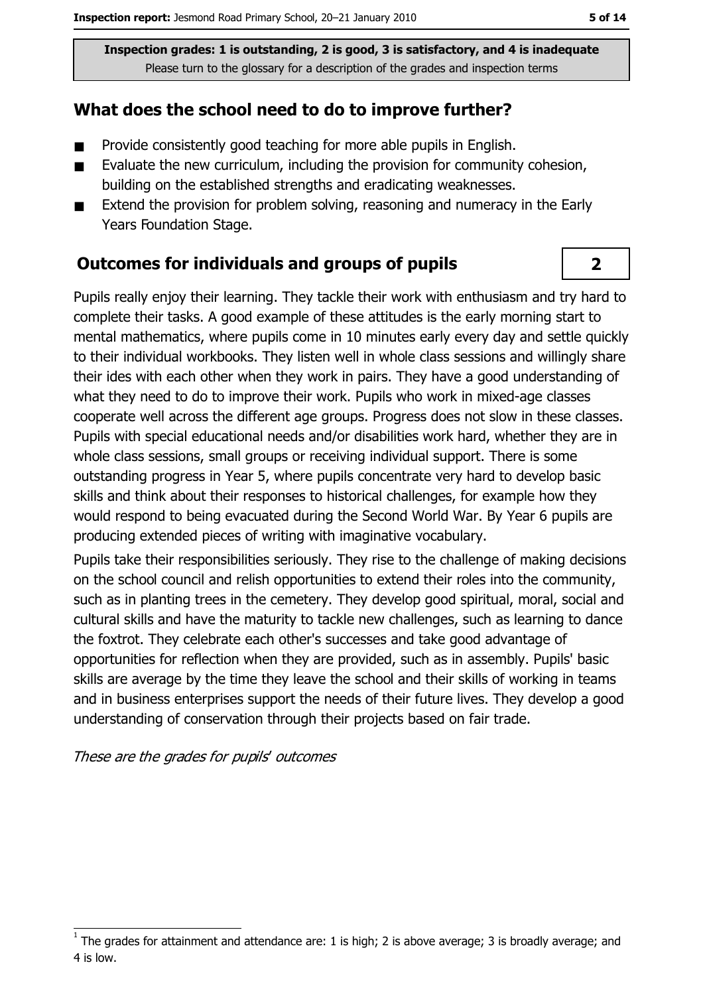## What does the school need to do to improve further?

- Provide consistently good teaching for more able pupils in English.  $\blacksquare$
- Evaluate the new curriculum, including the provision for community cohesion,  $\blacksquare$ building on the established strengths and eradicating weaknesses.
- Extend the provision for problem solving, reasoning and numeracy in the Early  $\blacksquare$ Years Foundation Stage.

#### **Outcomes for individuals and groups of pupils**

Pupils really enjoy their learning. They tackle their work with enthusiasm and try hard to complete their tasks. A good example of these attitudes is the early morning start to mental mathematics, where pupils come in 10 minutes early every day and settle quickly to their individual workbooks. They listen well in whole class sessions and willingly share their ides with each other when they work in pairs. They have a good understanding of what they need to do to improve their work. Pupils who work in mixed-age classes cooperate well across the different age groups. Progress does not slow in these classes. Pupils with special educational needs and/or disabilities work hard, whether they are in whole class sessions, small groups or receiving individual support. There is some outstanding progress in Year 5, where pupils concentrate very hard to develop basic skills and think about their responses to historical challenges, for example how they would respond to being evacuated during the Second World War, By Year 6 pupils are producing extended pieces of writing with imaginative vocabulary.

Pupils take their responsibilities seriously. They rise to the challenge of making decisions on the school council and relish opportunities to extend their roles into the community, such as in planting trees in the cemetery. They develop good spiritual, moral, social and cultural skills and have the maturity to tackle new challenges, such as learning to dance the foxtrot. They celebrate each other's successes and take good advantage of opportunities for reflection when they are provided, such as in assembly. Pupils' basic skills are average by the time they leave the school and their skills of working in teams and in business enterprises support the needs of their future lives. They develop a good understanding of conservation through their projects based on fair trade.

These are the grades for pupils' outcomes

 $\overline{2}$ 

The grades for attainment and attendance are: 1 is high; 2 is above average; 3 is broadly average; and 4 is low.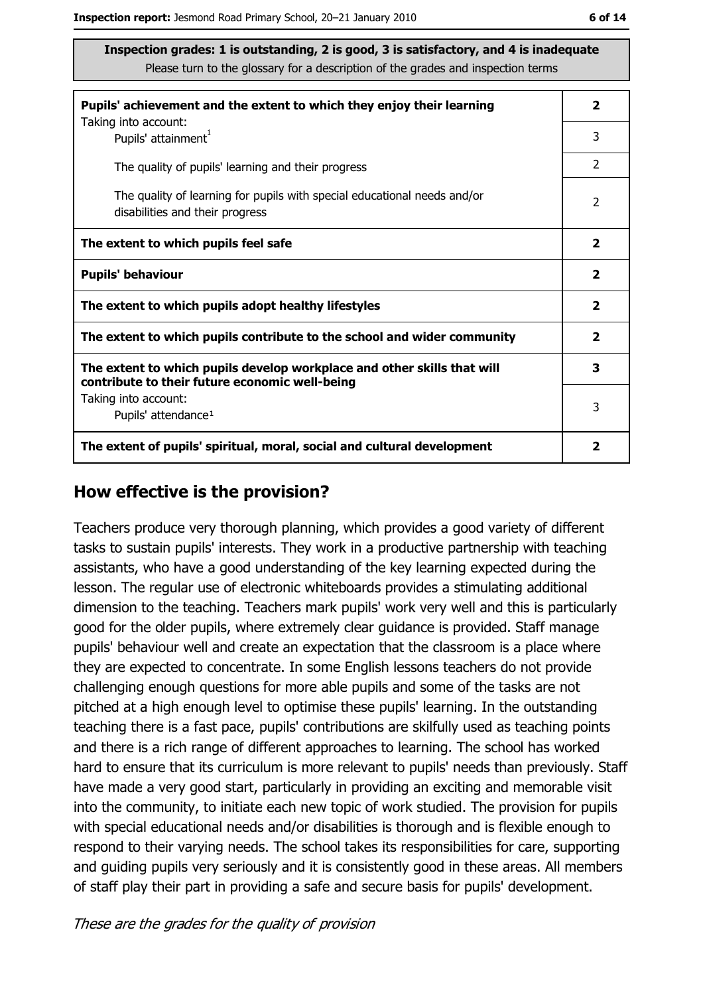| Pupils' achievement and the extent to which they enjoy their learning                                                     |                         |  |  |  |
|---------------------------------------------------------------------------------------------------------------------------|-------------------------|--|--|--|
| Taking into account:<br>Pupils' attainment <sup>1</sup>                                                                   | 3                       |  |  |  |
| The quality of pupils' learning and their progress                                                                        | 2                       |  |  |  |
| The quality of learning for pupils with special educational needs and/or<br>disabilities and their progress               |                         |  |  |  |
| The extent to which pupils feel safe                                                                                      | $\overline{\mathbf{2}}$ |  |  |  |
| <b>Pupils' behaviour</b>                                                                                                  |                         |  |  |  |
| The extent to which pupils adopt healthy lifestyles                                                                       | $\mathbf{2}$            |  |  |  |
| The extent to which pupils contribute to the school and wider community                                                   |                         |  |  |  |
| The extent to which pupils develop workplace and other skills that will<br>contribute to their future economic well-being |                         |  |  |  |
| Taking into account:<br>Pupils' attendance <sup>1</sup>                                                                   | 3                       |  |  |  |
| The extent of pupils' spiritual, moral, social and cultural development                                                   | 2                       |  |  |  |

#### How effective is the provision?

Teachers produce very thorough planning, which provides a good variety of different tasks to sustain pupils' interests. They work in a productive partnership with teaching assistants, who have a good understanding of the key learning expected during the lesson. The regular use of electronic whiteboards provides a stimulating additional dimension to the teaching. Teachers mark pupils' work very well and this is particularly good for the older pupils, where extremely clear quidance is provided. Staff manage pupils' behaviour well and create an expectation that the classroom is a place where they are expected to concentrate. In some English lessons teachers do not provide challenging enough questions for more able pupils and some of the tasks are not pitched at a high enough level to optimise these pupils' learning. In the outstanding teaching there is a fast pace, pupils' contributions are skilfully used as teaching points and there is a rich range of different approaches to learning. The school has worked hard to ensure that its curriculum is more relevant to pupils' needs than previously. Staff have made a very good start, particularly in providing an exciting and memorable visit into the community, to initiate each new topic of work studied. The provision for pupils with special educational needs and/or disabilities is thorough and is flexible enough to respond to their varying needs. The school takes its responsibilities for care, supporting and guiding pupils very seriously and it is consistently good in these areas. All members of staff play their part in providing a safe and secure basis for pupils' development.

These are the grades for the quality of provision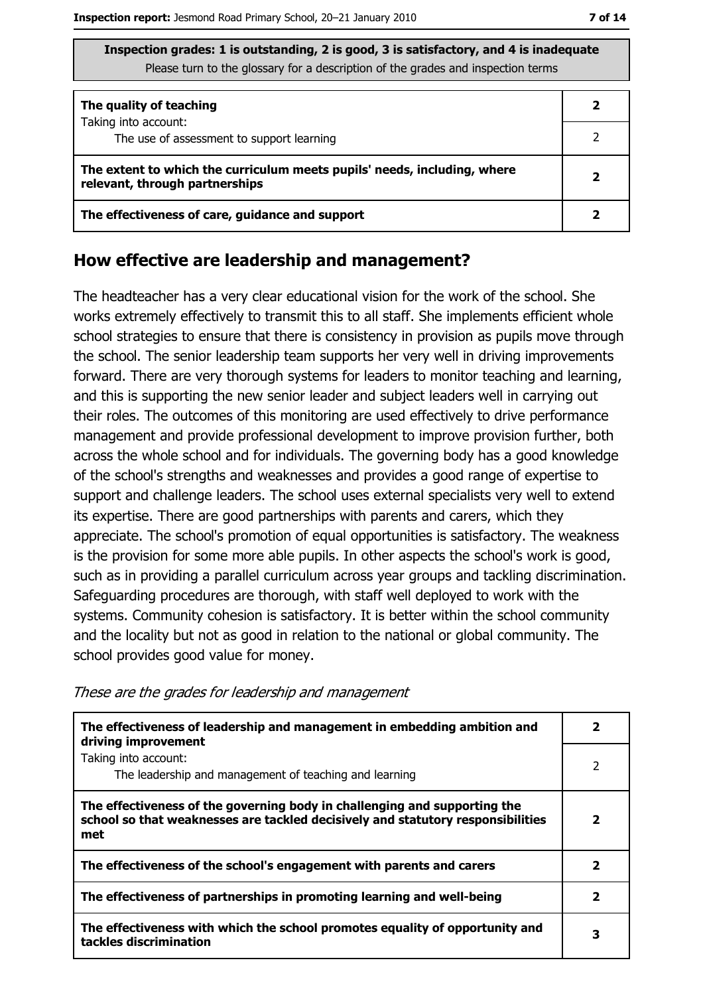| The quality of teaching                                                                                    |  |
|------------------------------------------------------------------------------------------------------------|--|
| Taking into account:<br>The use of assessment to support learning                                          |  |
| The extent to which the curriculum meets pupils' needs, including, where<br>relevant, through partnerships |  |
| The effectiveness of care, guidance and support                                                            |  |

#### How effective are leadership and management?

The headteacher has a very clear educational vision for the work of the school. She works extremely effectively to transmit this to all staff. She implements efficient whole school strategies to ensure that there is consistency in provision as pupils move through the school. The senior leadership team supports her very well in driving improvements forward. There are very thorough systems for leaders to monitor teaching and learning, and this is supporting the new senior leader and subject leaders well in carrying out their roles. The outcomes of this monitoring are used effectively to drive performance management and provide professional development to improve provision further, both across the whole school and for individuals. The governing body has a good knowledge of the school's strengths and weaknesses and provides a good range of expertise to support and challenge leaders. The school uses external specialists very well to extend its expertise. There are good partnerships with parents and carers, which they appreciate. The school's promotion of equal opportunities is satisfactory. The weakness is the provision for some more able pupils. In other aspects the school's work is good, such as in providing a parallel curriculum across year groups and tackling discrimination. Safeguarding procedures are thorough, with staff well deployed to work with the systems. Community cohesion is satisfactory. It is better within the school community and the locality but not as good in relation to the national or global community. The school provides good value for money.

| The effectiveness of leadership and management in embedding ambition and<br>driving improvement                                                                     | 2 |
|---------------------------------------------------------------------------------------------------------------------------------------------------------------------|---|
| Taking into account:<br>The leadership and management of teaching and learning                                                                                      | 2 |
| The effectiveness of the governing body in challenging and supporting the<br>school so that weaknesses are tackled decisively and statutory responsibilities<br>met | 2 |
| The effectiveness of the school's engagement with parents and carers                                                                                                | 2 |
| The effectiveness of partnerships in promoting learning and well-being                                                                                              | 2 |
| The effectiveness with which the school promotes equality of opportunity and<br>tackles discrimination                                                              | 3 |

These are the grades for leadership and management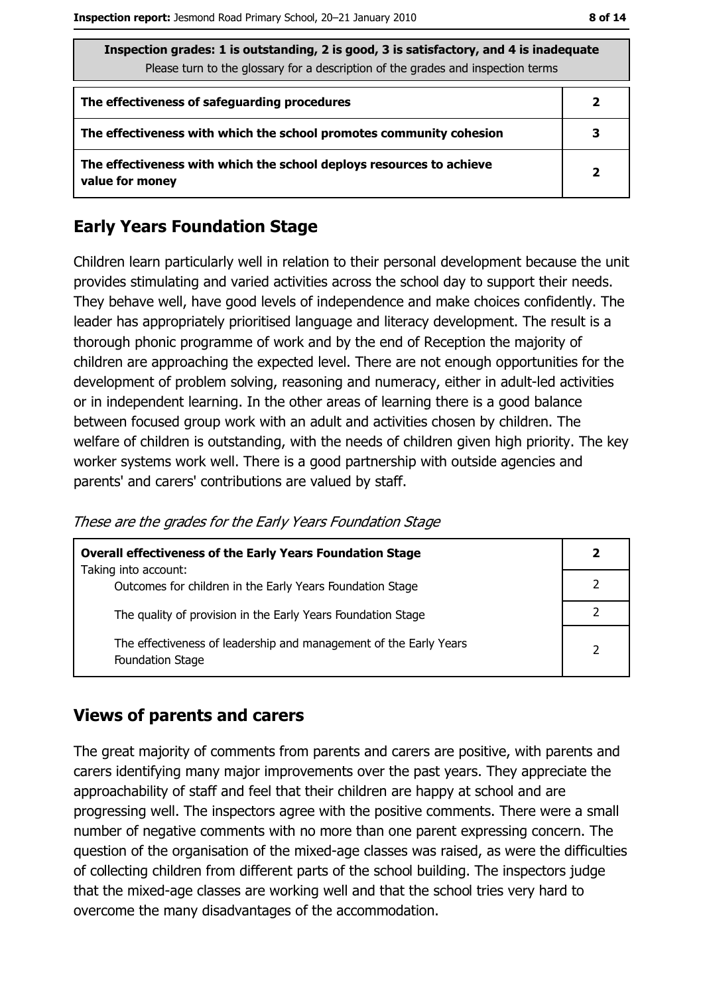| Inspection grades: 1 is outstanding, 2 is good, 3 is satisfactory, and 4 is inadequate<br>Please turn to the glossary for a description of the grades and inspection terms |              |  |
|----------------------------------------------------------------------------------------------------------------------------------------------------------------------------|--------------|--|
| The effectiveness of safeguarding procedures                                                                                                                               | $\mathbf{2}$ |  |
| The effectiveness with which the school promotes community cohesion                                                                                                        |              |  |
| The effectiveness with which the school deploys resources to achieve<br>value for money                                                                                    | $\mathbf{2}$ |  |

## **Early Years Foundation Stage**

Children learn particularly well in relation to their personal development because the unit provides stimulating and varied activities across the school day to support their needs. They behave well, have good levels of independence and make choices confidently. The leader has appropriately prioritised language and literacy development. The result is a thorough phonic programme of work and by the end of Reception the majority of children are approaching the expected level. There are not enough opportunities for the development of problem solving, reasoning and numeracy, either in adult-led activities or in independent learning. In the other areas of learning there is a good balance between focused group work with an adult and activities chosen by children. The welfare of children is outstanding, with the needs of children given high priority. The key worker systems work well. There is a good partnership with outside agencies and parents' and carers' contributions are valued by staff.

These are the grades for the Early Years Foundation Stage

| <b>Overall effectiveness of the Early Years Foundation Stage</b><br>Taking into account: | 2              |
|------------------------------------------------------------------------------------------|----------------|
| Outcomes for children in the Early Years Foundation Stage                                |                |
| The quality of provision in the Early Years Foundation Stage                             |                |
| The effectiveness of leadership and management of the Early Years<br>Foundation Stage    | $\overline{2}$ |

#### **Views of parents and carers**

The great majority of comments from parents and carers are positive, with parents and carers identifying many major improvements over the past years. They appreciate the approachability of staff and feel that their children are happy at school and are progressing well. The inspectors agree with the positive comments. There were a small number of negative comments with no more than one parent expressing concern. The question of the organisation of the mixed-age classes was raised, as were the difficulties of collecting children from different parts of the school building. The inspectors judge that the mixed-age classes are working well and that the school tries very hard to overcome the many disadvantages of the accommodation.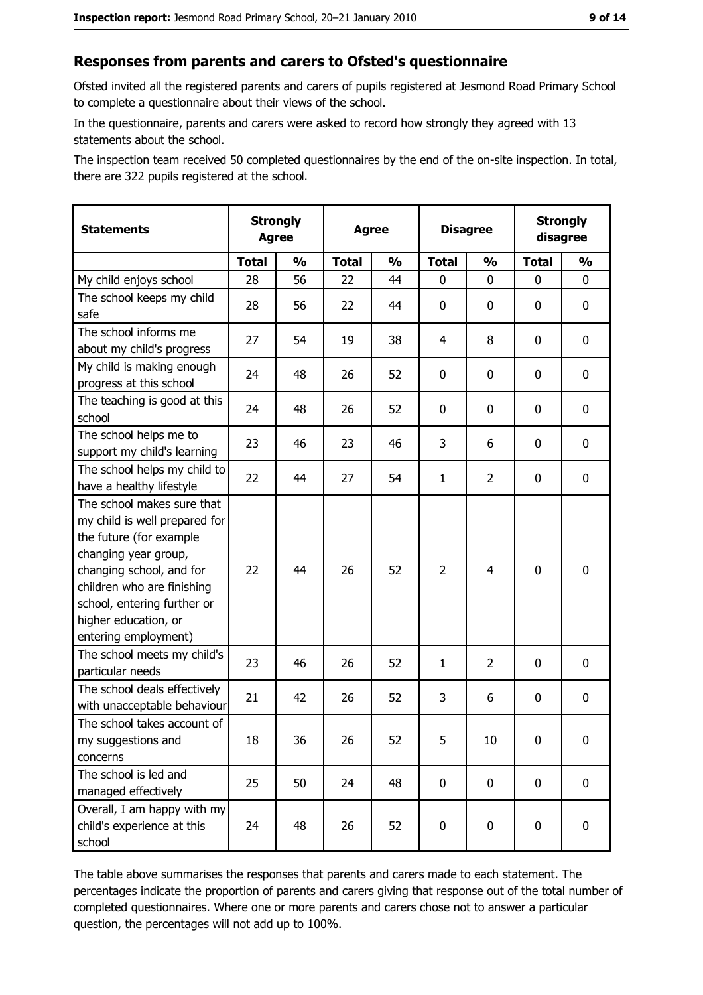## Responses from parents and carers to Ofsted's questionnaire

Ofsted invited all the registered parents and carers of pupils registered at Jesmond Road Primary School to complete a questionnaire about their views of the school.

In the questionnaire, parents and carers were asked to record how strongly they agreed with 13 statements about the school.

The inspection team received 50 completed questionnaires by the end of the on-site inspection. In total, there are 322 pupils registered at the school.

| <b>Statements</b>                                                                                                                                                                                                                                       | <b>Strongly</b><br><b>Agree</b> |               | <b>Agree</b> |               | <b>Disagree</b> |                |              | <b>Strongly</b><br>disagree |
|---------------------------------------------------------------------------------------------------------------------------------------------------------------------------------------------------------------------------------------------------------|---------------------------------|---------------|--------------|---------------|-----------------|----------------|--------------|-----------------------------|
|                                                                                                                                                                                                                                                         | <b>Total</b>                    | $\frac{1}{2}$ | <b>Total</b> | $\frac{0}{0}$ | <b>Total</b>    | $\frac{1}{2}$  | <b>Total</b> | $\frac{1}{2}$               |
| My child enjoys school                                                                                                                                                                                                                                  | 28                              | 56            | 22           | 44            | 0               | 0              | 0            | 0                           |
| The school keeps my child<br>safe                                                                                                                                                                                                                       | 28                              | 56            | 22           | 44            | 0               | 0              | 0            | $\mathbf 0$                 |
| The school informs me<br>about my child's progress                                                                                                                                                                                                      | 27                              | 54            | 19           | 38            | $\overline{4}$  | 8              | 0            | 0                           |
| My child is making enough<br>progress at this school                                                                                                                                                                                                    | 24                              | 48            | 26           | 52            | 0               | 0              | 0            | 0                           |
| The teaching is good at this<br>school                                                                                                                                                                                                                  | 24                              | 48            | 26           | 52            | 0               | 0              | 0            | 0                           |
| The school helps me to<br>support my child's learning                                                                                                                                                                                                   | 23                              | 46            | 23           | 46            | 3               | 6              | 0            | 0                           |
| The school helps my child to<br>have a healthy lifestyle                                                                                                                                                                                                | 22                              | 44            | 27           | 54            | $\mathbf{1}$    | $\overline{2}$ | 0            | 0                           |
| The school makes sure that<br>my child is well prepared for<br>the future (for example<br>changing year group,<br>changing school, and for<br>children who are finishing<br>school, entering further or<br>higher education, or<br>entering employment) | 22                              | 44            | 26           | 52            | $\overline{2}$  | 4              | $\mathbf 0$  | 0                           |
| The school meets my child's<br>particular needs                                                                                                                                                                                                         | 23                              | 46            | 26           | 52            | $\mathbf{1}$    | $\overline{2}$ | 0            | 0                           |
| The school deals effectively<br>with unacceptable behaviour                                                                                                                                                                                             | 21                              | 42            | 26           | 52            | 3               | 6              | 0            | $\mathbf 0$                 |
| The school takes account of<br>my suggestions and<br>concerns                                                                                                                                                                                           | 18                              | 36            | 26           | 52            | 5               | 10             | 0            | 0                           |
| The school is led and<br>managed effectively                                                                                                                                                                                                            | 25                              | 50            | 24           | 48            | 0               | 0              | $\bf{0}$     | 0                           |
| Overall, I am happy with my<br>child's experience at this<br>school                                                                                                                                                                                     | 24                              | 48            | 26           | 52            | $\mathbf 0$     | 0              | $\mathbf 0$  | 0                           |

The table above summarises the responses that parents and carers made to each statement. The percentages indicate the proportion of parents and carers giving that response out of the total number of completed questionnaires. Where one or more parents and carers chose not to answer a particular question, the percentages will not add up to 100%.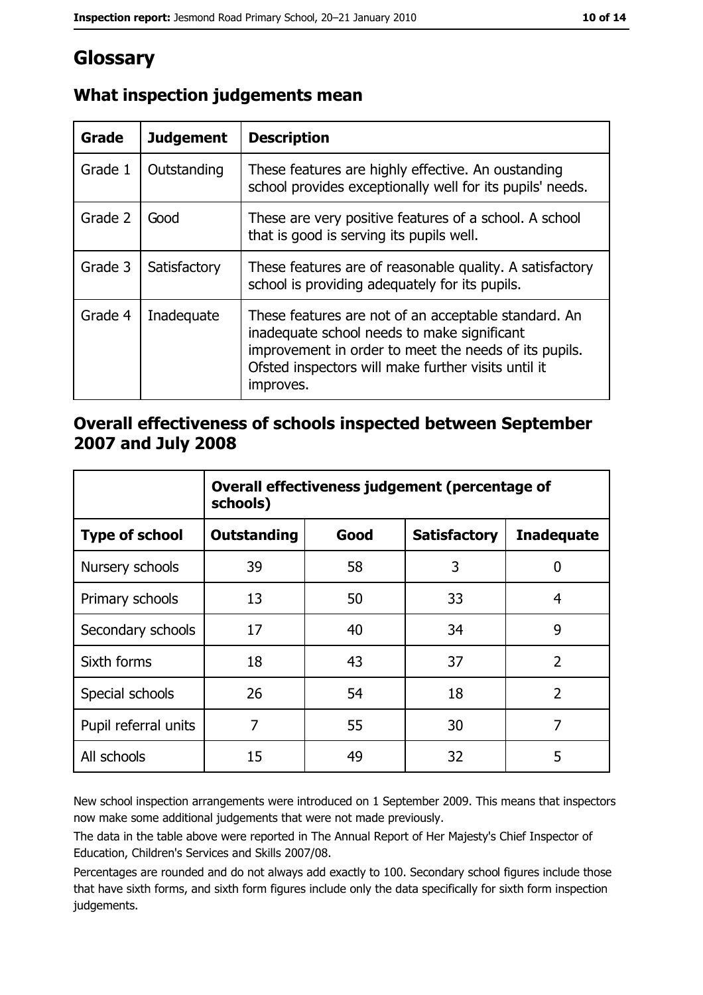# Glossary

| <b>Grade</b> | <b>Judgement</b> | <b>Description</b>                                                                                                                                                                                                               |
|--------------|------------------|----------------------------------------------------------------------------------------------------------------------------------------------------------------------------------------------------------------------------------|
| Grade 1      | Outstanding      | These features are highly effective. An oustanding<br>school provides exceptionally well for its pupils' needs.                                                                                                                  |
| Grade 2      | Good             | These are very positive features of a school. A school<br>that is good is serving its pupils well.                                                                                                                               |
| Grade 3      | Satisfactory     | These features are of reasonable quality. A satisfactory<br>school is providing adequately for its pupils.                                                                                                                       |
| Grade 4      | Inadequate       | These features are not of an acceptable standard. An<br>inadequate school needs to make significant<br>improvement in order to meet the needs of its pupils.<br>Ofsted inspectors will make further visits until it<br>improves. |

## What inspection judgements mean

### Overall effectiveness of schools inspected between September 2007 and July 2008

|                       | Overall effectiveness judgement (percentage of<br>schools) |      |                     |                   |  |  |
|-----------------------|------------------------------------------------------------|------|---------------------|-------------------|--|--|
| <b>Type of school</b> | <b>Outstanding</b>                                         | Good | <b>Satisfactory</b> | <b>Inadequate</b> |  |  |
| Nursery schools       | 39                                                         | 58   | 3                   | 0                 |  |  |
| Primary schools       | 13                                                         | 50   | 33                  | 4                 |  |  |
| Secondary schools     | 17                                                         | 40   | 34                  | 9                 |  |  |
| Sixth forms           | 18                                                         | 43   | 37                  | $\overline{2}$    |  |  |
| Special schools       | 26                                                         | 54   | 18                  | $\overline{2}$    |  |  |
| Pupil referral units  | 7                                                          | 55   | 30                  | 7                 |  |  |
| All schools           | 15                                                         | 49   | 32                  | 5                 |  |  |

New school inspection arrangements were introduced on 1 September 2009. This means that inspectors now make some additional judgements that were not made previously.

The data in the table above were reported in The Annual Report of Her Majesty's Chief Inspector of Education, Children's Services and Skills 2007/08.

Percentages are rounded and do not always add exactly to 100. Secondary school figures include those that have sixth forms, and sixth form figures include only the data specifically for sixth form inspection judgements.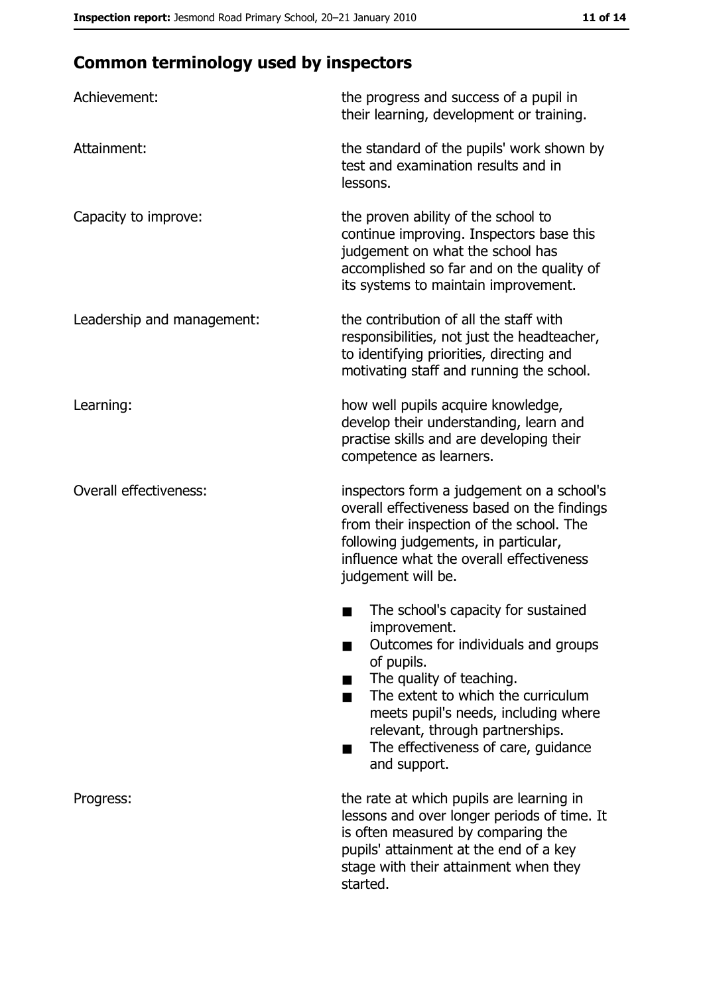# **Common terminology used by inspectors**

| Achievement:                  | the progress and success of a pupil in<br>their learning, development or training.                                                                                                                                                                                                                           |
|-------------------------------|--------------------------------------------------------------------------------------------------------------------------------------------------------------------------------------------------------------------------------------------------------------------------------------------------------------|
| Attainment:                   | the standard of the pupils' work shown by<br>test and examination results and in<br>lessons.                                                                                                                                                                                                                 |
| Capacity to improve:          | the proven ability of the school to<br>continue improving. Inspectors base this<br>judgement on what the school has<br>accomplished so far and on the quality of<br>its systems to maintain improvement.                                                                                                     |
| Leadership and management:    | the contribution of all the staff with<br>responsibilities, not just the headteacher,<br>to identifying priorities, directing and<br>motivating staff and running the school.                                                                                                                                |
| Learning:                     | how well pupils acquire knowledge,<br>develop their understanding, learn and<br>practise skills and are developing their<br>competence as learners.                                                                                                                                                          |
| <b>Overall effectiveness:</b> | inspectors form a judgement on a school's<br>overall effectiveness based on the findings<br>from their inspection of the school. The<br>following judgements, in particular,<br>influence what the overall effectiveness<br>judgement will be.                                                               |
|                               | The school's capacity for sustained<br>improvement.<br>Outcomes for individuals and groups<br>of pupils.<br>The quality of teaching.<br>The extent to which the curriculum<br>meets pupil's needs, including where<br>relevant, through partnerships.<br>The effectiveness of care, guidance<br>and support. |
| Progress:                     | the rate at which pupils are learning in<br>lessons and over longer periods of time. It<br>is often measured by comparing the<br>pupils' attainment at the end of a key<br>stage with their attainment when they<br>started.                                                                                 |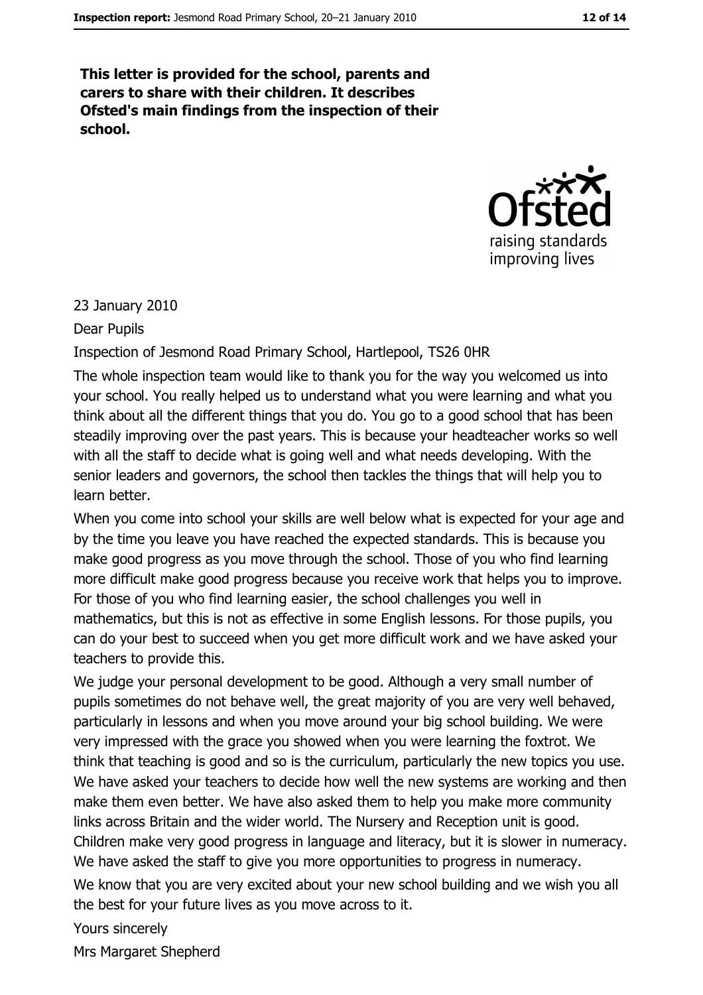This letter is provided for the school, parents and carers to share with their children. It describes Ofsted's main findings from the inspection of their school.



#### 23 January 2010

#### Dear Pupils

#### Inspection of Jesmond Road Primary School, Hartlepool, TS26 0HR

The whole inspection team would like to thank you for the way you welcomed us into your school. You really helped us to understand what you were learning and what you think about all the different things that you do. You go to a good school that has been steadily improving over the past years. This is because your headteacher works so well with all the staff to decide what is going well and what needs developing. With the senior leaders and governors, the school then tackles the things that will help you to learn better.

When you come into school your skills are well below what is expected for your age and by the time you leave you have reached the expected standards. This is because you make good progress as you move through the school. Those of you who find learning more difficult make good progress because you receive work that helps you to improve. For those of you who find learning easier, the school challenges you well in mathematics, but this is not as effective in some English lessons. For those pupils, you can do your best to succeed when you get more difficult work and we have asked your teachers to provide this.

We judge your personal development to be good. Although a very small number of pupils sometimes do not behave well, the great majority of you are very well behaved, particularly in lessons and when you move around your big school building. We were very impressed with the grace you showed when you were learning the foxtrot. We think that teaching is good and so is the curriculum, particularly the new topics you use. We have asked your teachers to decide how well the new systems are working and then make them even better. We have also asked them to help you make more community links across Britain and the wider world. The Nursery and Reception unit is good. Children make very good progress in language and literacy, but it is slower in numeracy. We have asked the staff to give you more opportunities to progress in numeracy.

We know that you are very excited about your new school building and we wish you all the best for your future lives as you move across to it.

Yours sincerely

Mrs Margaret Shepherd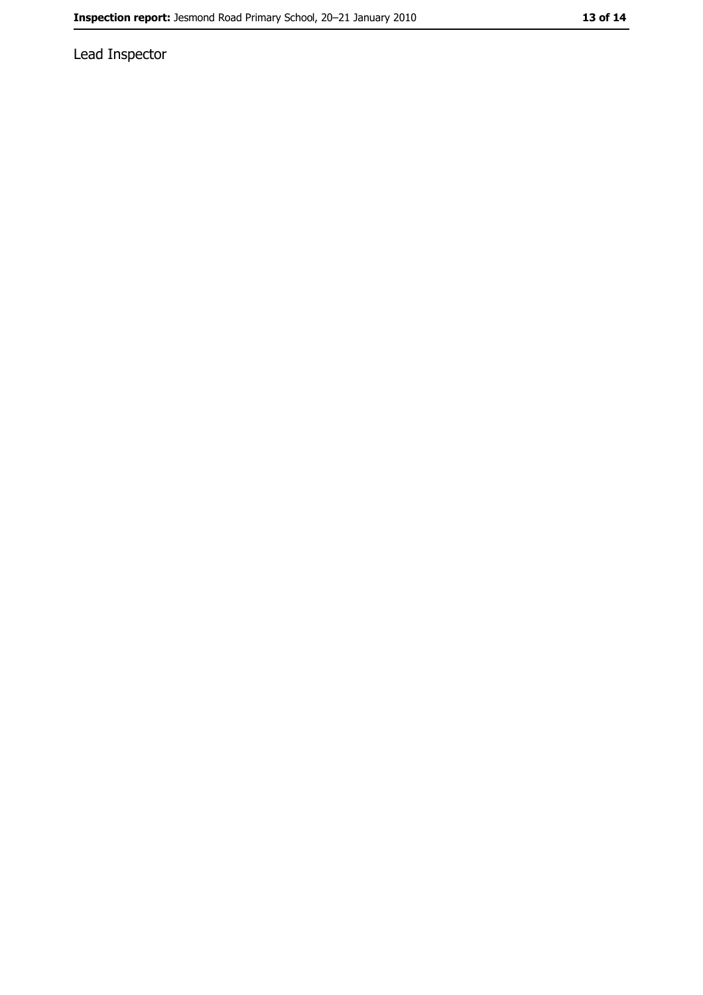Lead Inspector